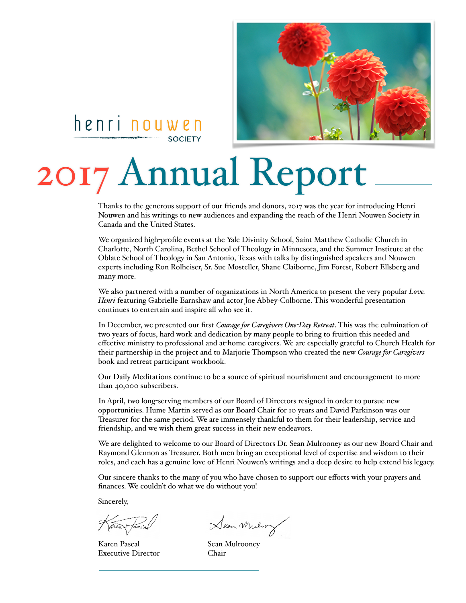

## henri nouwen

## 2017 Annual Report

Thanks to the generous support of our friends and donors, 2017 was the year for introducing Henri Nouwen and his writings to new audiences and expanding the reach of the Henri Nouwen Society in Canada and the United States.

We organized high-profile events at the Yale Divinity School, Saint Matthew Catholic Church in Charlotte, North Carolina, Bethel School of Theology in Minnesota, and the Summer Institute at the Oblate School of Theology in San Antonio, Texas with talks by distinguished speakers and Nouwen experts including Ron Rolheiser, Sr. Sue Mosteller, Shane Claiborne, Jim Forest, Robert Ellsberg and many more.

We also partnered with a number of organizations in North America to present the very popular *Love, Henri* featuring Gabrielle Earnshaw and actor Joe Abbey-Colborne. This wonderful presentation continues to entertain and inspire all who see it.

In December, we presented our first *Courage for Caregivers One-Day Retreat*. This was the culmination of two years of focus, hard work and dedication by many people to bring to fruition this needed and effective ministry to professional and at-home caregivers. We are especially grateful to Church Health for their partnership in the project and to Marjorie Thompson who created the new *Courage for Caregivers* book and retreat participant workbook.

Our Daily Meditations continue to be a source of spiritual nourishment and encouragement to more than 40,000 subscribers.

In April, two long-serving members of our Board of Directors resigned in order to pursue new opportunities. Hume Martin served as our Board Chair for 10 years and David Parkinson was our Treasurer for the same period. We are immensely thankful to them for their leadership, service and friendship, and we wish them great success in their new endeavors.

We are delighted to welcome to our Board of Directors Dr. Sean Mulrooney as our new Board Chair and Raymond Glennon as Treasurer. Both men bring an exceptional level of expertise and wisdom to their roles, and each has a genuine love of Henri Nouwen's writings and a deep desire to help extend his legacy.

Our sincere thanks to the many of you who have chosen to support our efforts with your prayers and finances. We couldn't do what we do without you!

Sincerely,

Karen Pascal Sean Mulrooney Executive Director Chair

Sean Mulioz